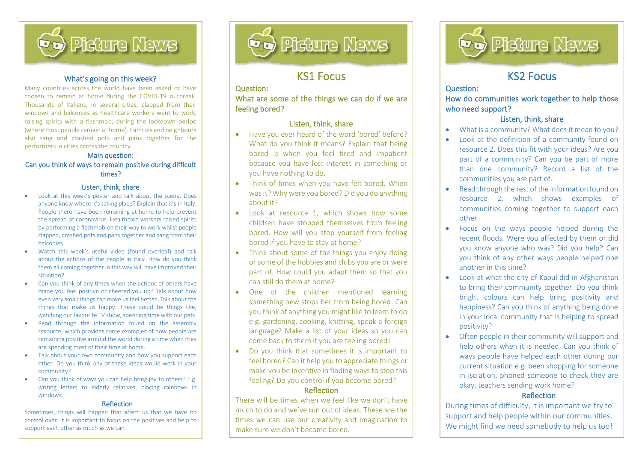

### What's going on this week?

Many countries across the world have been asked or have chosen to remain at home during the COVID-19 outbreak. Thousands of Italians, in several cities, clapped from their windows and balconies as healthcare workers went to work. raising spirits with a flashmob, during the lockdown period (where most people remain at home). Families and neighbours also sang and crashed pots and pans together for the performers in cities across the country.

#### Main question:

### Can you think of ways to remain positive during difficult times?

#### Listen, think, share

- Look at this week's poster and talk about the scene. Does anyone know where it's taking place? Explain that it's in Italy. People there have been remaining at home to help prevent the spread of coronavirus. Healthcare workers raised spirits by performing a flashmob on their way to work whilst people clapped, crashed pots and pans together and sang from their balconies.
- Watch this week's useful video (found overleaf) and talk about the actions of the people in Italy. How do you think them all coming together in this way will have improved their situation?
- Can you think of any times when the actions of others have made you feel positive or cheered you up? Talk about how even very small things can make us feel better. Talk about the things that make us happy. These could be things like, watching our favourite TV show, spending time with our pets.
- Read through the information found on the assembly resource, which provides some examples of how people are remaining positive around the world during a time when they are spending most of their time at home.
- Talk about your own community and how you support each other. Do you think any of these ideas would work in your community?
- Can you think of ways you can help bring joy to others? E.g. writing letters to elderly relatives, placing rainbows in windows.

#### Reflection

Sometimes, things will happen that affect us that we have no control over. It is important to focus on the positives and help to support each other as much as we can.



## KS1 Focus

### Question:

What are some of the things we can do if we are feeling bored?

### Listen, think, share

- Have you ever heard of the word 'bored' before? What do you think it means? Explain that being bored is when you feel tired and impatient because you have lost interest in something or you have nothing to do.
- Think of times when you have felt bored. When was it? Why were you bored? Did you do anything about it?
- Look at resource 1, which shows how some children have stopped themselves from feeling bored. How will you stop yourself from feeling bored if you have to stay at home?
- Think about some of the things you enjoy doing or some of the hobbies and clubs you are or were part of. How could you adapt them so that you can still do them at home?
- One of the children mentioned learning something new stops her from being bored. Can you think of anything you might like to learn to do e.g. gardening, cooking, knitting, speak a foreign language? Make a list of your ideas so you can come back to them if you are feeling bored!
- Do you think that sometimes it is important to feel bored? Can it help you to appreciate things or make you be inventive in finding ways to stop this feeling? Do you control if you become bored?

#### Reflection

There will be times when we feel like we don't have much to do and we've run out of ideas. These are the times we can use our creativity and imagination to make sure we don't become bored.



## KS2 Focus

#### Question:

How do communities work together to help those who need support?

### Listen, think, share

- What is a community? What does it mean to you?
- Look at the definition of a community found on resource 2. Does this fit with your ideas? Are you part of a community? Can you be part of more than one community? Record a list of the communities you are part of.
- Read through the rest of the information found on resource 2, which shows examples of communities coming together to support each other.
- Focus on the ways people helped during the recent floods. Were you affected by them or did you know anyone who was? Did you help? Can you think of any other ways people helped one another in this time?
- Look at what the city of Kabul did in Afghanistan to bring their community together. Do you think bright colours can help bring positivity and happiness? Can you think of anything being done in your local community that is helping to spread positivity?
- Often people in their community will support and help others when it is needed. Can you think of ways people have helped each other during our current situation e.g. been shopping for someone in isolation, phoned someone to check they are okay, teachers sending work home?

### Reflection

During times of difficulty, it is important we try to support and help people within our communities. We might find we need somebody to help us too!